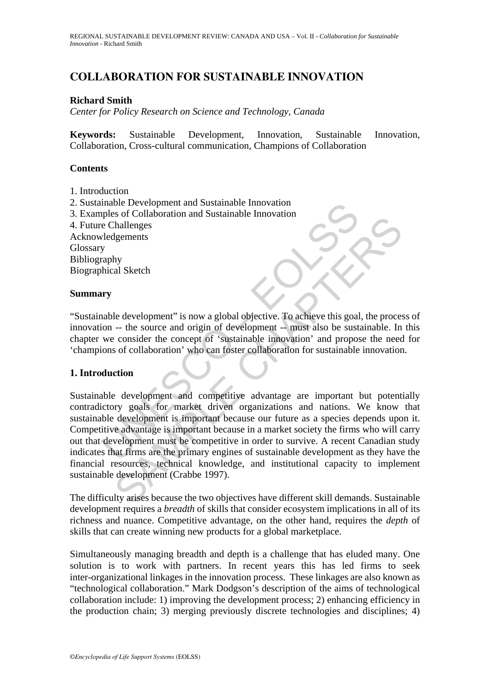# **COLLABORATION FOR SUSTAINABLE INNOVATION**

### **Richard Smith**

*Center for Policy Research on Science and Technology, Canada*

**Keywords:** Sustainable Development, Innovation, Sustainable Innovation, Collaboration, Cross-cultural communication, Champions of Collaboration

## **Contents**

- 1. Introduction
- 2. Sustainable Development and Sustainable Innovation
- 3. Examples of Collaboration and Sustainable Innovation
- 4. Future Challenges

Acknowledgements Glossary Bibliography Biographical Sketch

### **Summary**

"Sustainable development" is now a global objective. To achieve this goal, the process of innovation -- the source and origin of development -- must also be sustainable. In this chapter we consider the concept of 'sustainable innovation' and propose the need for 'champions of collaboration' who can foster collaboration for sustainable innovation.

### **1. Introduction**

mable Development and Sustainable Innovation<br>ples of Collaboration and Sustainable Innovation<br>e Challenges<br>velocidements<br>y<br>araphy<br>whical Sketch<br>were and origin of development -- must also be sust<br>we consider the concept of So to consider the statematic movality and substantial consideration<br>in all Sketch<br>thallenges<br>are the source and origin of development -- must also be sustainable. In<br>consider the concept of "sustainable innovation" and pr Sustainable development and competitive advantage are important but potentially contradictory goals for market driven organizations and nations. We know that sustainable development is important because our future as a species depends upon it. Competitive advantage is important because in a market society the firms who will carry out that development must be competitive in order to survive. A recent Canadian study indicates that firms are the primary engines of sustainable development as they have the financial resources, technical knowledge, and institutional capacity to implement sustainable development (Crabbe 1997).

The difficulty arises because the two objectives have different skill demands. Sustainable development requires a *breadth* of skills that consider ecosystem implications in all of its richness and nuance. Competitive advantage, on the other hand, requires the *depth* of skills that can create winning new products for a global marketplace.

Simultaneously managing breadth and depth is a challenge that has eluded many. One solution is to work with partners. In recent years this has led firms to seek inter-organizational linkages in the innovation process. These linkages are also known as "technological collaboration." Mark Dodgson's description of the aims of technological collaboration include: 1) improving the development process; 2) enhancing efficiency in the production chain; 3) merging previously discrete technologies and disciplines; 4)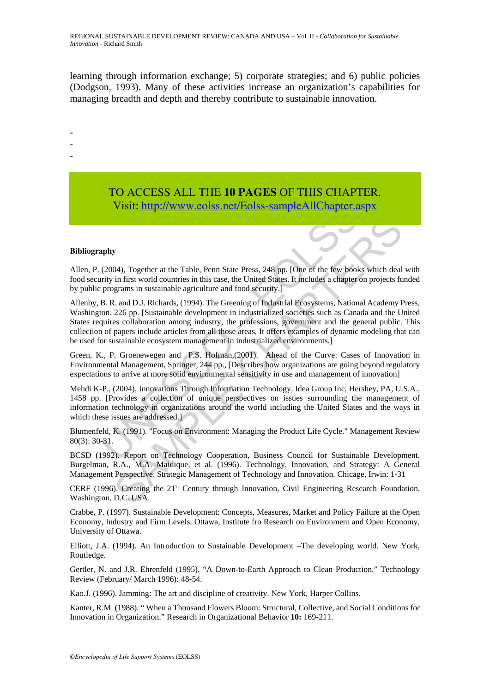learning through information exchange; 5) corporate strategies; and 6) public policies (Dodgson, 1993). Many of these activities increase an organization's capabilities for managing breadth and depth and thereby contribute to sustainable innovation.

-

- -
- -

## TO ACCESS ALL THE **10 PAGES** OF THIS CHAPTER, Visit: http://www.eolss.net/Eolss-sampleAllChapter.aspx

#### **Bibliography**

Allen, P. (2004), Together at the Table, Penn State Press, 248 pp. [One of the few books which deal with food security in first world countries in this case, the United States. It includes a chapter on projects funded by public programs in sustainable agriculture and food security.]

Visit: http://www.colss.net/Eolss-sampleAllChapter.a<br>
apply<br>
(2004), Together at the Table, Penn State Press, 248 pp. [One of the few book<br>
inty in first world countries in this case, the United States. It includes a chapt y<br>
204), Together at the Table, Penn State Press, 248 pp. [One of the few books which deal<br>
in first world countries in this case, the United States. It includes a chipter on projects fu<br>
in grams in sustainable agricultu Allenby, B. R. and D.J. Richards, (1994). The Greening of Industrial Ecosystems, National Academy Press, Washington. 226 pp. [Sustainable development in industrialized societies such as Canada and the United States requires collaboration among industry, the professions, government and the general public. This collection of papers include articles from all those areas, It offers examples of dynamic modeling that can be used for sustainable ecosystem management in industrialized environments.]

Green, K., P. Groenewegen and P.S. Hofman,(2001). Ahead of the Curve: Cases of Innovation in Environmental Management, Springer, 244 pp., [Describes how organizations are going beyond regulatory expectations to arrive at more solid environmental sensitivity in use and management of innovation]

Mehdi K-P., (2004), Innovations Through Information Technology, Idea Group Inc, Hershey, PA, U.S.A., 1458 pp. [Provides a collection of unique perspectives on issues surrounding the management of information technology in organizations around the world including the United States and the ways in which these issues are addressed.]

Blumenfeld, K. (1991). "Focus on Environment: Managing the Product Life Cycle." Management Review 80(3): 30-31.

BCSD (1992). Report on Technology Cooperation, Business Council for Sustainable Development. Burgelman, R.A., M.A. Maidique, et al. (1996). Technology, Innovation, and Strategy: A General Management Perspective. Strategic Management of Technology and Innovation. Chicage, Irwin: 1-31

CERF (1996). Creating the 21<sup>st</sup> Century through Innovation, Civil Engineering Research Foundation, Washington, D.C. USA.

Crabbe, P. (1997). Sustainable Development: Concepts, Measures, Market and Policy Failure at the Open Economy, Industry and Firm Levels. Ottawa, Institute fro Research on Environment and Open Economy, University of Ottawa.

Elliott, J.A. (1994). An Introduction to Sustainable Development –The developing world. New York, Routledge.

Gertler, N. and J.R. Ehrenfeld (1995). "A Down-to-Earth Approach to Clean Production." Technology Review (February/ March 1996): 48-54.

Kao.J. (1996). Jamming: The art and discipline of creativity. New York, Harper Collins.

Kanter, R.M. (1988). " When a Thousand Flowers Bloom: Structural, Collective, and Social Conditions for Innovation in Organization." Research in Organizational Behavior **10:** 169-211.